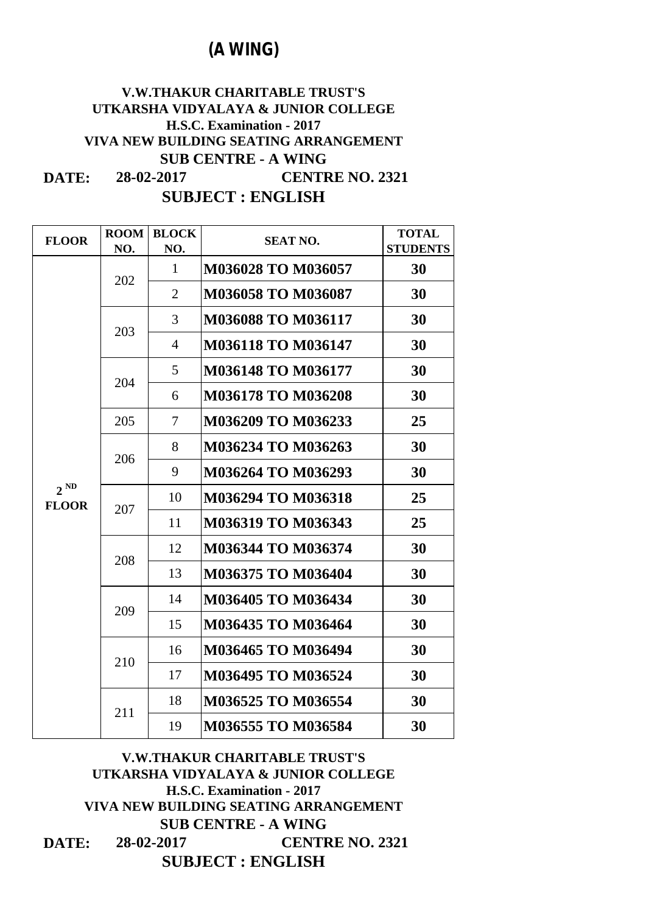| <b>FLOOR</b>             | <b>ROOM</b><br>NO. | <b>BLOCK</b><br>NO. | <b>SEAT NO.</b>           | <b>TOTAL</b><br><b>STUDENTS</b>                                                         |
|--------------------------|--------------------|---------------------|---------------------------|-----------------------------------------------------------------------------------------|
|                          | 202                | $\mathbf{1}$        | <b>M036028 TO M036057</b> | 30                                                                                      |
|                          |                    | $\overline{2}$      | <b>M036058 TO M036087</b> | 30                                                                                      |
|                          | 203                | 3                   | <b>M036088 TO M036117</b> | 30                                                                                      |
|                          |                    | $\overline{4}$      | <b>M036118 TO M036147</b> | 30                                                                                      |
|                          | 204                | 5 <sup>5</sup>      | <b>M036148 TO M036177</b> | 30                                                                                      |
|                          |                    | 6                   | <b>M036178 TO M036208</b> | 30<br>25<br>30<br>30<br>25<br>25<br>30<br>30<br>30<br>30<br>30<br>30<br>30<br><b>30</b> |
|                          | 205                | $7\overline{ }$     | M036209 TO M036233        |                                                                                         |
|                          | 206                | 8                   | M036234 TO M036263        |                                                                                         |
|                          |                    | 9                   | M036264 TO M036293        |                                                                                         |
| $2^{ND}$<br><b>FLOOR</b> | 207                | 10                  | <b>M036294 TO M036318</b> |                                                                                         |
|                          |                    | 11                  | <b>M036319 TO M036343</b> |                                                                                         |
|                          | 208                | 12                  | M036344 TO M036374        |                                                                                         |
|                          |                    | 13                  | M036375 TO M036404        |                                                                                         |
|                          | 209                | 14                  | M036405 TO M036434        |                                                                                         |
|                          |                    | 15                  | M036435 TO M036464        |                                                                                         |
|                          | 210                | 16                  | M036465 TO M036494        |                                                                                         |
|                          |                    | 17                  | M036495 TO M036524        |                                                                                         |
|                          | 211                | 18                  | M036525 TO M036554        |                                                                                         |
|                          |                    | 19                  | M036555 TO M036584        |                                                                                         |

### **DATE: V.W.THAKUR CHARITABLE TRUST'S UTKARSHA VIDYALAYA & JUNIOR COLLEGE H.S.C. Examination - 2017 VIVA NEW BUILDING SEATING ARRANGEMENT SUB CENTRE - A WING 28-02-2017 CENTRE NO. 2321 SUBJECT : ENGLISH**

## **(A WING)**

**SUBJECT : ENGLISH**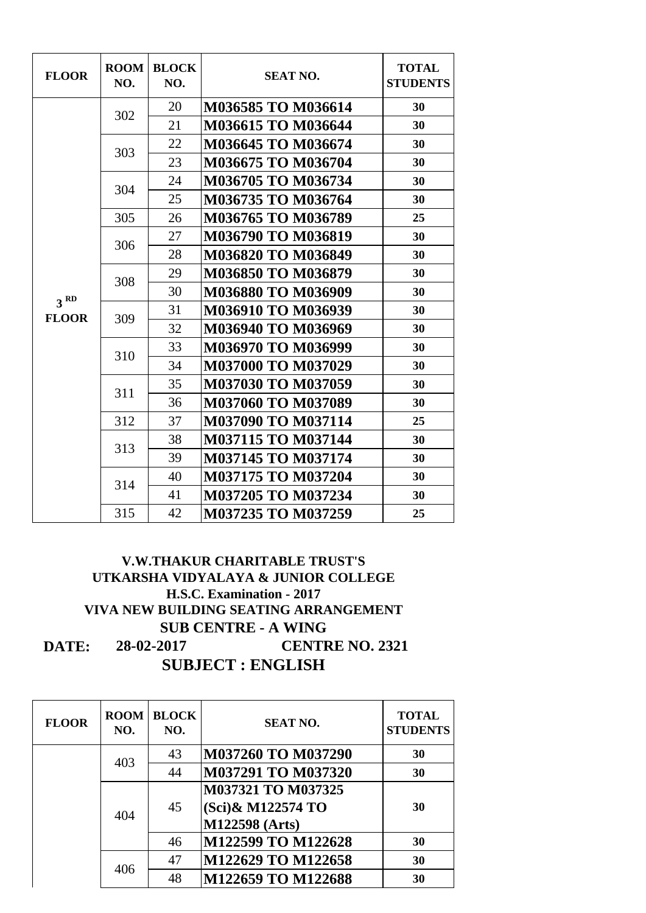| <b>FLOOR</b>    | <b>ROOM</b><br>NO. | <b>BLOCK</b><br>NO. | <b>SEAT NO.</b>           | <b>TOTAL</b><br><b>STUDENTS</b>        |
|-----------------|--------------------|---------------------|---------------------------|----------------------------------------|
|                 |                    | 20                  | M036585 TO M036614        | 30                                     |
|                 | 302                | 21                  | <b>M036615 TO M036644</b> | 30                                     |
|                 | 303                | 22                  | <b>M036645 TO M036674</b> | 30                                     |
|                 |                    | 23                  | M036675 TO M036704        | 30                                     |
|                 | 304                | 24                  | M036705 TO M036734        | 30                                     |
|                 |                    | 25                  | M036735 TO M036764        | 30<br>25<br>30<br>30<br>30<br>30<br>30 |
|                 | 305                | 26                  | M036765 TO M036789        |                                        |
|                 | 306                | 27                  | <b>M036790 TO M036819</b> |                                        |
|                 |                    | 28                  | M036820 TO M036849        |                                        |
|                 | 308                | 29                  | M036850 TO M036879        |                                        |
| 3 <sup>RD</sup> |                    | 30                  | M036880 TO M036909        |                                        |
| <b>FLOOR</b>    | 309                | 31                  | M036910 TO M036939        |                                        |
|                 |                    | 32                  | M036940 TO M036969        | 30                                     |
|                 | 310                | 33                  | M036970 TO M036999        | 30                                     |
|                 |                    | 34                  | <b>M037000 TO M037029</b> | 30                                     |
|                 | 311                | 35                  | <b>M037030 TO M037059</b> | 30                                     |
|                 |                    | 36                  | M037060 TO M037089        | 30                                     |
|                 | 312                | 37                  | <b>M037090 TO M037114</b> | 25                                     |
|                 | 313                | 38                  | <b>M037115 TO M037144</b> | 30                                     |
|                 |                    | 39                  | <b>M037145 TO M037174</b> | 30                                     |
|                 | 314                | 40                  | <b>M037175 TO M037204</b> | 30                                     |
|                 |                    | 41                  | M037205 TO M037234        | 30                                     |
|                 | 315                | 42                  | <b>M037235 TO M037259</b> | 25                                     |

| <b>FLOOR</b> | <b>ROOM</b><br>NO. | <b>BLOCK</b><br>NO. | <b>SEAT NO.</b>           | <b>TOTAL</b><br><b>STUDENTS</b> |
|--------------|--------------------|---------------------|---------------------------|---------------------------------|
|              | 403                | 43                  | <b>M037260 TO M037290</b> | 30                              |
|              |                    | 44                  | <b>M037291 TO M037320</b> | 30                              |
|              | 404<br>406         |                     | <b>M037321 TO M037325</b> |                                 |
|              |                    | 45                  | (Sci)& M122574 TO         | 30                              |
|              |                    |                     | <b>M122598 (Arts)</b>     |                                 |
|              |                    | 46                  | M122599 TO M122628        | 30                              |
|              |                    | 47                  | M122629 TO M122658        | 30                              |
|              |                    | 48                  | M122659 TO M122688        | 30                              |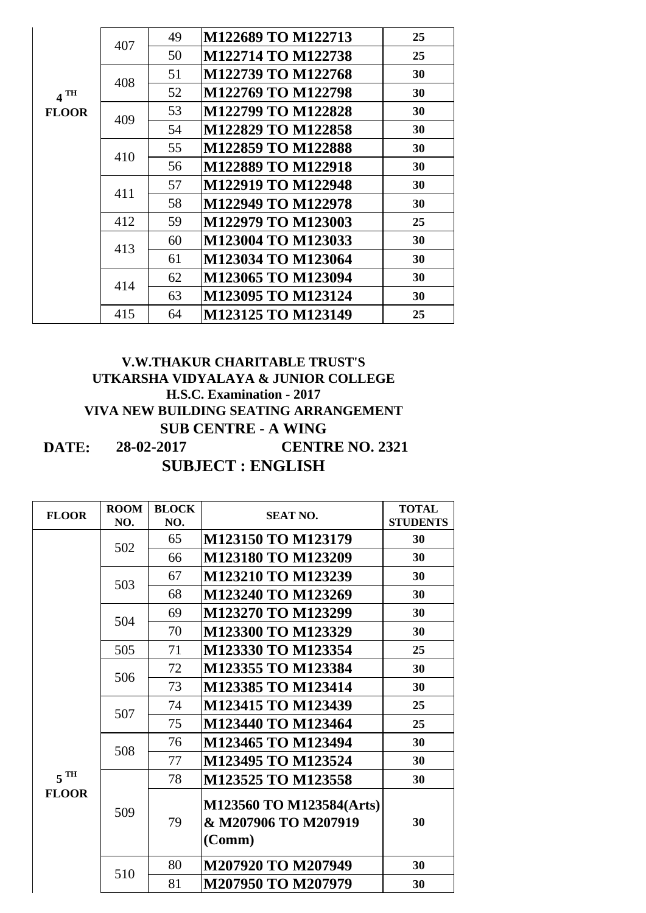|              | 407 | 49 | M122689 TO M122713        | 25 |
|--------------|-----|----|---------------------------|----|
|              |     | 50 | M122714 TO M122738        | 25 |
|              | 408 | 51 | M122739 TO M122768        | 30 |
| $4$ TH       |     | 52 | M122769 TO M122798        | 30 |
| <b>FLOOR</b> |     | 53 | M122799 TO M122828        | 30 |
|              | 409 | 54 | M122829 TO M122858        | 30 |
|              |     | 55 | M122859 TO M122888        | 30 |
|              | 410 | 56 | <b>M122889 TO M122918</b> | 30 |
|              |     | 57 | M122919 TO M122948        | 30 |
|              | 411 | 58 | M122949 TO M122978        | 30 |
|              | 412 | 59 | M122979 TO M123003        | 25 |
|              |     | 60 | M123004 TO M123033        | 30 |
|              | 413 | 61 | M123034 TO M123064        | 30 |
|              |     | 62 | M123065 TO M123094        | 30 |
|              | 414 | 63 | M123095 TO M123124        | 30 |
|              | 415 | 64 | M123125 TO M123149        | 25 |

| <b>FLOOR</b>      | <b>ROOM</b> | <b>BLOCK</b> | <b>SEAT NO.</b>                                            | <b>TOTAL</b>    |
|-------------------|-------------|--------------|------------------------------------------------------------|-----------------|
|                   | NO.         | NO.          |                                                            | <b>STUDENTS</b> |
|                   |             | 65           | M123150 TO M123179                                         | 30              |
|                   | 502         | 66           | M123180 TO M123209                                         | 30              |
|                   | 503         | 67           | M123210 TO M123239                                         | 30              |
|                   |             | 68           | M123240 TO M123269                                         | 30              |
|                   | 504         | 69           | M123270 TO M123299                                         | 30              |
|                   |             | 70           | M123300 TO M123329                                         | 30              |
|                   | 505         | 71           | M123330 TO M123354                                         | 25              |
|                   | 506         | 72           | M123355 TO M123384                                         | 30              |
|                   |             | 73           | M123385 TO M123414                                         | 30              |
|                   | 507         | 74           | M123415 TO M123439                                         | 25              |
|                   |             | 75           | M123440 TO M123464                                         | 25              |
|                   | 508         | 76           | M123465 TO M123494                                         | 30              |
|                   |             | 77           | M123495 TO M123524                                         | 30              |
| $5$ <sup>TH</sup> |             | 78           | M123525 TO M123558                                         | 30              |
| <b>FLOOR</b>      | 509         | 79           | M123560 TO M123584(Arts)<br>& M207906 TO M207919<br>(Comm) | 30              |
|                   |             | 80           | M207920 TO M207949                                         | 30              |
|                   | 510         | 81           | M207950 TO M207979                                         | 30              |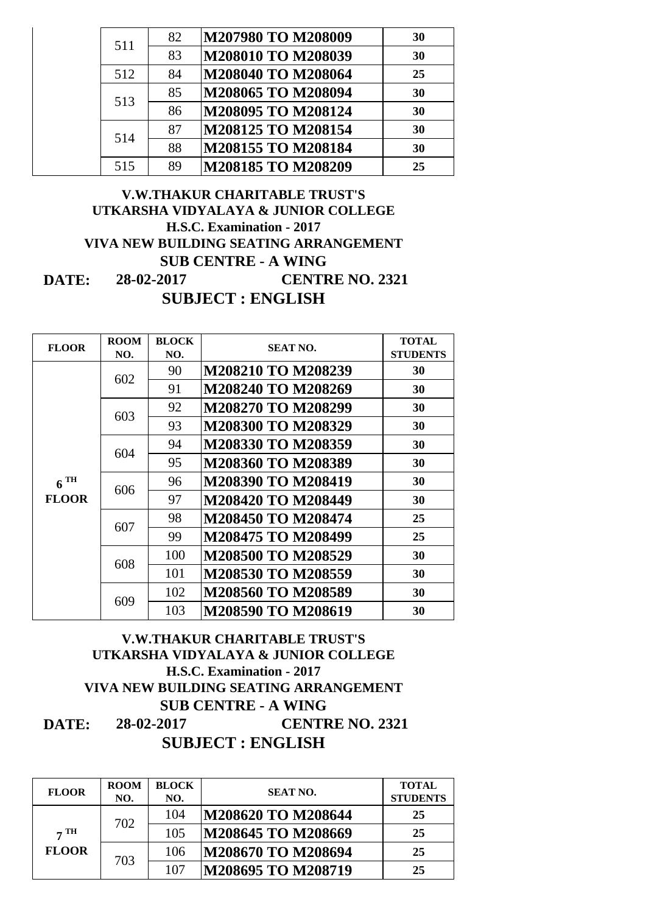|  | 511 | 82 | M207980 TO M208009 | 30 |
|--|-----|----|--------------------|----|
|  |     | 83 | M208010 TO M208039 | 30 |
|  | 512 | 84 | M208040 TO M208064 | 25 |
|  | 513 | 85 | M208065 TO M208094 | 30 |
|  |     | 86 | M208095 TO M208124 | 30 |
|  | 514 | 87 | M208125 TO M208154 | 30 |
|  |     | 88 | M208155 TO M208184 | 30 |
|  | 515 | 89 | M208185 TO M208209 | 25 |

| <b>FLOOR</b>      | <b>ROOM</b><br>NO. | <b>BLOCK</b><br>NO. | <b>SEAT NO.</b>           | <b>TOTAL</b><br><b>STUDENTS</b> |
|-------------------|--------------------|---------------------|---------------------------|---------------------------------|
|                   |                    | 90                  | <b>M208210 TO M208239</b> | 30                              |
|                   | 602                | 91                  | M208240 TO M208269        | 30                              |
|                   | 603                | 92                  | <b>M208270 TO M208299</b> | 30                              |
|                   |                    | 93                  | <b>M208300 TO M208329</b> | 30                              |
|                   | 604                | 94                  | <b>M208330 TO M208359</b> | 30                              |
|                   |                    | 95                  | M208360 TO M208389        | 30                              |
| $6$ <sup>TH</sup> | 606                | 96                  | <b>M208390 TO M208419</b> | 30                              |
| <b>FLOOR</b>      |                    | 97                  | <b>M208420 TO M208449</b> | 30                              |
|                   | 607                | 98                  | <b>M208450 TO M208474</b> | 25                              |
|                   |                    | 99                  | M208475 TO M208499        | 25                              |
|                   | 608                | 100                 | <b>M208500 TO M208529</b> | 30                              |
|                   |                    | 101                 | M208530 TO M208559        | 30                              |
|                   | 609                | 102                 | M208560 TO M208589        | 30                              |
|                   |                    | 103                 | <b>M208590 TO M208619</b> | 30                              |

### **DATE: SUB CENTRE - A WING 28-02-2017 CENTRE NO. 2321 SUBJECT : ENGLISH**

| <b>FLOOR</b>                            | <b>ROOM</b><br>NO. | <b>BLOCK</b><br>NO. | <b>SEAT NO.</b>    | <b>TOTAL</b><br><b>STUDENTS</b> |
|-----------------------------------------|--------------------|---------------------|--------------------|---------------------------------|
| $7 \text{ }\mathrm{TH}$<br><b>FLOOR</b> |                    | 104                 | M208620 TO M208644 | 25                              |
|                                         | 702                | 105                 | M208645 TO M208669 | 25                              |
|                                         | 703                | 106                 | M208670 TO M208694 | 25                              |
|                                         |                    | 107                 | M208695 TO M208719 | 25                              |

### **V.W.THAKUR CHARITABLE TRUST'S UTKARSHA VIDYALAYA & JUNIOR COLLEGE H.S.C. Examination - 2017 VIVA NEW BUILDING SEATING ARRANGEMENT**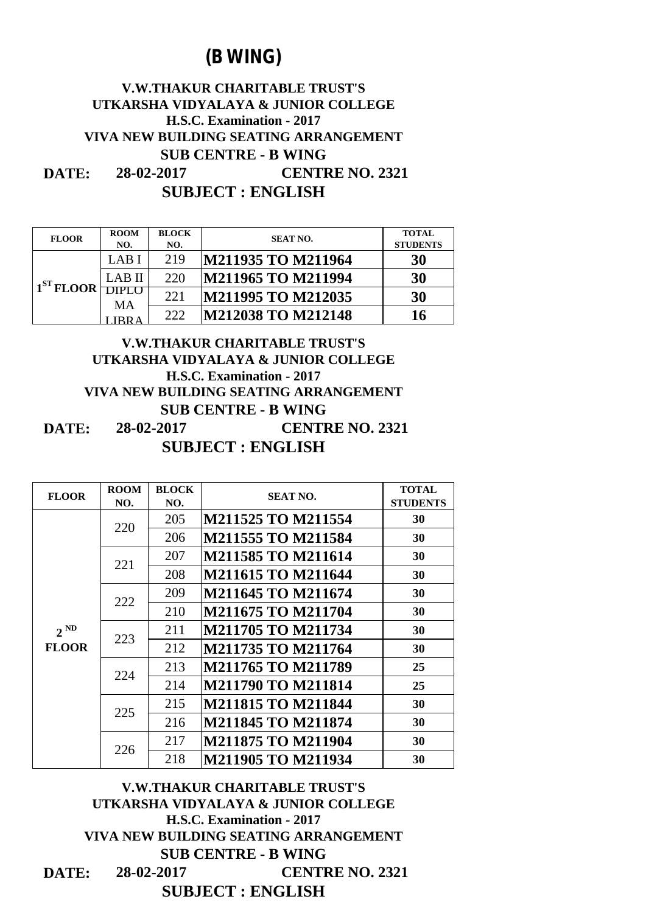| <b>FLOOR</b>          | <b>ROOM</b><br>NO. | <b>BLOCK</b><br>NO. | <b>SEAT NO.</b>            | <b>TOTAL</b><br><b>STUDENTS</b> |
|-----------------------|--------------------|---------------------|----------------------------|---------------------------------|
| 1 <sup>ST</sup> FLOOR | LAB I              | 219                 | M211935 TO M211964         | 30                              |
|                       | LAB II             | 220                 | M211965 TO M211994         | 30                              |
|                       | MA                 | 221                 | M211995 TO M212035         | 30                              |
|                       |                    | 222                 | <b>IM212038 TO M212148</b> | 16                              |

### **DATE: V.W.THAKUR CHARITABLE TRUST'S UTKARSHA VIDYALAYA & JUNIOR COLLEGE H.S.C. Examination - 2017 VIVA NEW BUILDING SEATING ARRANGEMENT SUB CENTRE - B WING 28-02-2017 CENTRE NO. 2321 SUBJECT : ENGLISH**

| <b>FLOOR</b> | <b>ROOM</b><br>NO. | <b>BLOCK</b><br>NO. | <b>SEAT NO.</b>           | <b>TOTAL</b><br><b>STUDENTS</b>        |
|--------------|--------------------|---------------------|---------------------------|----------------------------------------|
|              | 220                | 205                 | M211525 TO M211554        | 30                                     |
|              |                    | 206                 | <b>M211555 TO M211584</b> | 30                                     |
|              | 221                | 207                 | <b>M211585 TO M211614</b> | 30                                     |
|              |                    | 208                 | <b>M211615 TO M211644</b> | 30                                     |
|              | 222                | 209                 | <b>M211645 TO M211674</b> | 30                                     |
|              |                    | 210                 | <b>M211675 TO M211704</b> | 30                                     |
| $2^{ND}$     | 223                | 211                 | <b>M211705 TO M211734</b> | 30                                     |
| <b>FLOOR</b> |                    | 212                 | <b>M211735 TO M211764</b> | 30<br>25<br>25<br>30<br>30<br>30<br>30 |
|              | 224                | 213                 | <b>M211765 TO M211789</b> |                                        |
|              |                    | 214                 | <b>M211790 TO M211814</b> |                                        |
|              | 225                | 215                 | <b>M211815 TO M211844</b> |                                        |
|              |                    | 216                 | <b>M211845 TO M211874</b> |                                        |
|              | 226                | 217                 | <b>M211875 TO M211904</b> |                                        |
|              |                    | 218                 | <b>M211905 TO M211934</b> |                                        |

# **(B WING)**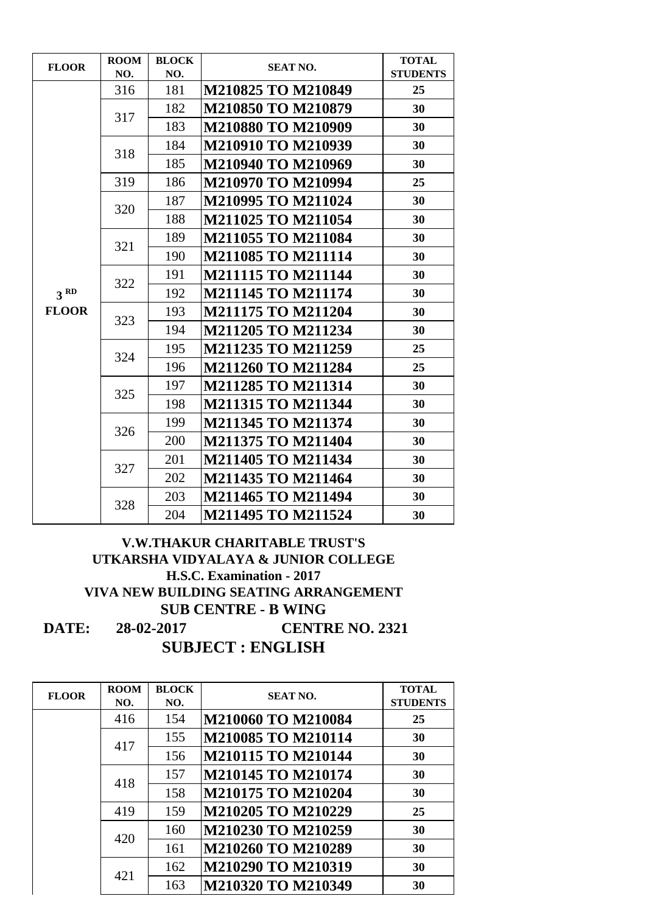| <b>FLOOR</b>    | <b>ROOM</b> | <b>BLOCK</b> | <b>SEAT NO.</b>           | <b>TOTAL</b>    |
|-----------------|-------------|--------------|---------------------------|-----------------|
|                 | NO.         | NO.          |                           | <b>STUDENTS</b> |
|                 | 316         | 181          | M210825 TO M210849        | 25              |
|                 | 317         | 182          | <b>M210850 TO M210879</b> | 30              |
|                 |             | 183          | <b>M210880 TO M210909</b> | 30              |
|                 | 318         | 184          | M210910 TO M210939        | 30              |
|                 |             | 185          | M210940 TO M210969        | 30              |
|                 | 319         | 186          | M210970 TO M210994        | 25              |
|                 |             | 187          | M210995 TO M211024        | 30              |
|                 | 320         | 188          | M211025 TO M211054        | 30              |
|                 |             | 189          | <b>M211055 TO M211084</b> | 30              |
|                 | 321         | 190          | M211085 TO M211114        | 30              |
|                 |             | 191          | <b>M211115 TO M211144</b> | 30              |
| 3 <sup>RD</sup> | 322         | 192          | M211145 TO M211174        | 30              |
| <b>FLOOR</b>    | 323         | 193          | <b>M211175 TO M211204</b> | 30              |
|                 |             | 194          | <b>M211205 TO M211234</b> | 30              |
|                 |             | 195          | <b>M211235 TO M211259</b> | 25              |
|                 | 324         | 196          | <b>M211260 TO M211284</b> | 25              |
|                 | 325         | 197          | <b>M211285 TO M211314</b> | 30              |
|                 |             | 198          | <b>M211315 TO M211344</b> | 30              |
|                 | 326         | 199          | <b>M211345 TO M211374</b> | 30              |
|                 |             | <b>200</b>   | M211375 TO M211404        | 30              |
|                 | 327         | 201          | M211405 TO M211434        | 30              |
|                 |             | 202          | M211435 TO M211464        | 30              |
|                 | 328         | 203          | M211465 TO M211494        | 30              |
|                 |             | 204          | M211495 TO M211524        | 30              |

| <b>FLOOR</b> | <b>ROOM</b><br>NO. | <b>BLOCK</b><br>NO. | <b>SEAT NO.</b>    | <b>TOTAL</b><br><b>STUDENTS</b> |
|--------------|--------------------|---------------------|--------------------|---------------------------------|
|              | 416                | 154                 | M210060 TO M210084 | 25                              |
|              | 417                | 155                 | M210085 TO M210114 | 30                              |
|              |                    | 156                 | M210115 TO M210144 | 30                              |
|              | 418                | 157                 | M210145 TO M210174 | 30                              |
|              |                    | 158                 | M210175 TO M210204 | 30                              |
|              | 419                | 159                 | M210205 TO M210229 | 25                              |
|              | 420                | 160                 | M210230 TO M210259 | 30                              |
|              |                    | 161                 | M210260 TO M210289 | 30                              |
|              | 421                | 162                 | M210290 TO M210319 | 30                              |
|              |                    | 163                 | M210320 TO M210349 | 30                              |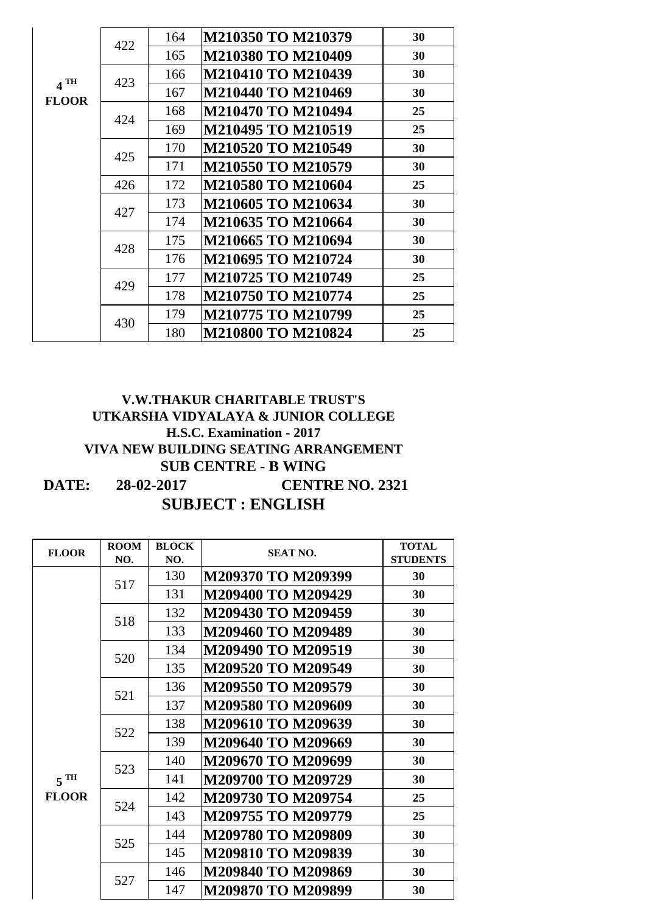| $4$ TH<br><b>FLOOR</b> | 422 | 164 | M210350 TO M210379        | 30 |
|------------------------|-----|-----|---------------------------|----|
|                        |     | 165 | M210380 TO M210409        | 30 |
|                        | 423 | 166 | <b>M210410 TO M210439</b> | 30 |
|                        |     | 167 | M210440 TO M210469        | 30 |
|                        | 424 | 168 | M210470 TO M210494        | 25 |
|                        |     | 169 | M210495 TO M210519        | 25 |
|                        | 425 | 170 | M210520 TO M210549        | 30 |
|                        |     | 171 | M210550 TO M210579        | 30 |
|                        | 426 | 172 | M210580 TO M210604        | 25 |
|                        | 427 | 173 | M210605 TO M210634        | 30 |
|                        |     | 174 | M210635 TO M210664        | 30 |
|                        | 428 | 175 | M210665 TO M210694        | 30 |
|                        |     | 176 | M210695 TO M210724        | 30 |
|                        | 429 | 177 | M210725 TO M210749        | 25 |
|                        |     | 178 | M210750 TO M210774        | 25 |
|                        | 430 | 179 | M210775 TO M210799        | 25 |
|                        |     | 180 | <b>M210800 TO M210824</b> | 25 |

| <b>FLOOR</b>    | <b>ROOM</b><br>NO. | <b>BLOCK</b><br>NO. | <b>SEAT NO.</b>    | <b>TOTAL</b><br><b>STUDENTS</b> |
|-----------------|--------------------|---------------------|--------------------|---------------------------------|
|                 | 517                | 130                 | M209370 TO M209399 | 30                              |
|                 |                    | 131                 | M209400 TO M209429 | 30                              |
|                 |                    | 132                 | M209430 TO M209459 | 30                              |
|                 | 518                | 133                 | M209460 TO M209489 | 30                              |
|                 | 520                | 134                 | M209490 TO M209519 | 30                              |
|                 |                    | 135                 | M209520 TO M209549 | 30                              |
|                 | 521                | 136                 | M209550 TO M209579 | 30                              |
|                 |                    | 137                 | M209580 TO M209609 | 30                              |
|                 | 522<br>523         | 138                 | M209610 TO M209639 | 30                              |
|                 |                    | 139                 | M209640 TO M209669 | 30                              |
|                 |                    | 140                 | M209670 TO M209699 | 30                              |
| 5 <sup>TH</sup> |                    | 141                 | M209700 TO M209729 | 30                              |
| <b>FLOOR</b>    | 524<br>525<br>527  | 142                 | M209730 TO M209754 | 25                              |
|                 |                    | 143                 | M209755 TO M209779 | 25                              |
|                 |                    | 144                 | M209780 TO M209809 | 30                              |
|                 |                    | 145                 | M209810 TO M209839 | 30                              |
|                 |                    | 146                 | M209840 TO M209869 | 30                              |
|                 |                    | 147                 | M209870 TO M209899 | 30                              |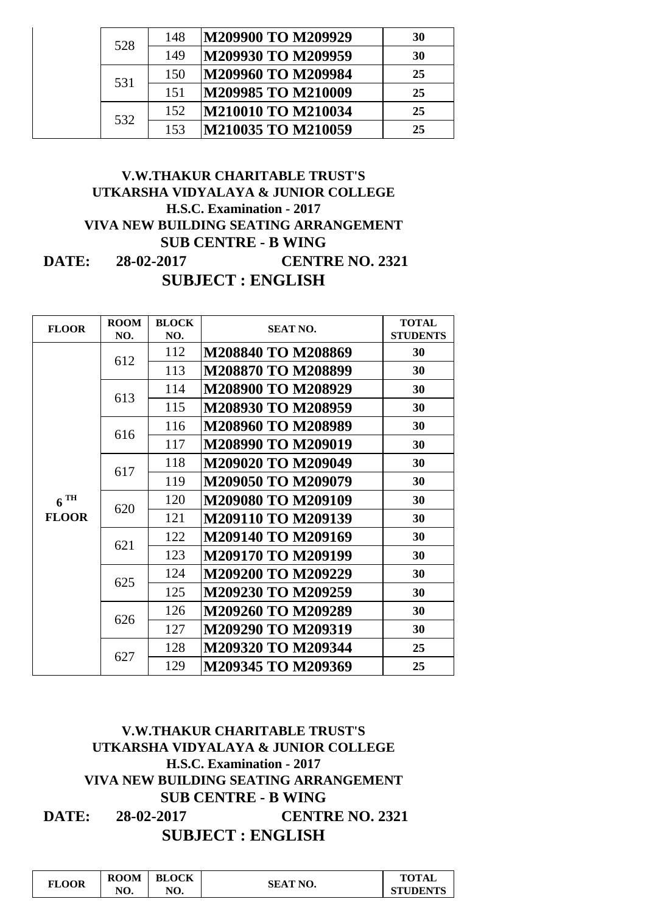| 528 |     | 148                | M209900 TO M209929 | 30 |
|-----|-----|--------------------|--------------------|----|
|     | 149 | M209930 TO M209959 | 30                 |    |
|     | 531 | 150                | M209960 TO M209984 | 25 |
|     | 151 | M209985 TO M210009 | 25                 |    |
| 532 | 152 | M210010 TO M210034 | 25                 |    |
|     | 153 | M210035 TO M210059 | 25                 |    |

| <b>FLOOR</b>      | <b>ROOM</b> | <b>BLOCK</b> | <b>SEAT NO.</b>    | <b>TOTAL</b>    |
|-------------------|-------------|--------------|--------------------|-----------------|
|                   | NO.         | NO.          |                    | <b>STUDENTS</b> |
|                   | 612         | 112          | M208840 TO M208869 | 30              |
|                   |             | 113          | M208870 TO M208899 | 30              |
|                   | 613         | 114          | M208900 TO M208929 | 30              |
|                   |             | 115          | M208930 TO M208959 | 30              |
|                   | 616         | 116          | M208960 TO M208989 | 30              |
|                   |             | 117          | M208990 TO M209019 | 30              |
|                   | 617         | 118          | M209020 TO M209049 | 30              |
|                   |             | 119          | M209050 TO M209079 | 30              |
| $6$ <sup>TH</sup> | 620         | 120          | M209080 TO M209109 | 30              |
| <b>FLOOR</b>      |             | 121          | M209110 TO M209139 | 30              |
|                   | 621         | 122          | M209140 TO M209169 | 30              |
|                   |             | 123          | M209170 TO M209199 | 30              |
|                   | 625         | 124          | M209200 TO M209229 | 30              |
|                   |             | 125          | M209230 TO M209259 | 30              |
|                   | 626         | 126          | M209260 TO M209289 | 30              |
|                   |             | 127          | M209290 TO M209319 | 30              |
|                   | 627         | 128          | M209320 TO M209344 | 25              |
|                   |             | 129          | M209345 TO M209369 | 25              |

| <b>FLOOR</b> | <b>ROOM</b> | <b>BLOCK</b> |                 | <b>TOTAL</b>    |
|--------------|-------------|--------------|-----------------|-----------------|
|              | NO.         | NO.          | <b>SEAT NO.</b> | <b>STUDENTS</b> |